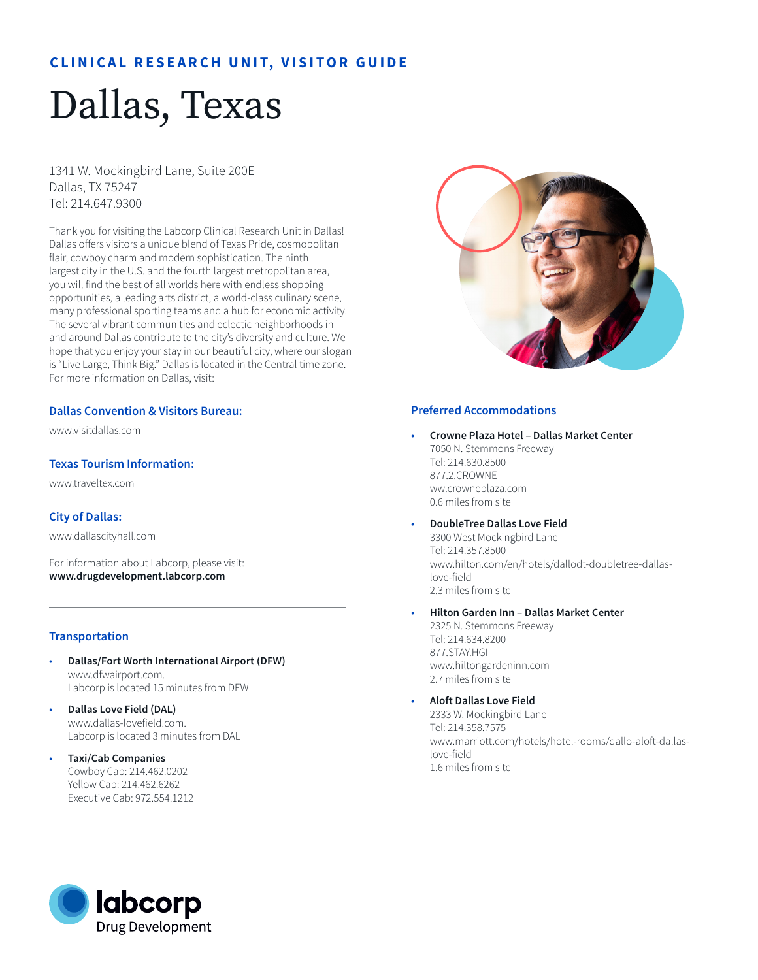# **CLINICAL RESEARCH UNIT, VISITOR GUIDE**

# Dallas, Texas

1341 W. Mockingbird Lane, Suite 200E Dallas, TX 75247 Tel: 214.647.9300

Thank you for visiting the Labcorp Clinical Research Unit in Dallas! Dallas offers visitors a unique blend of Texas Pride, cosmopolitan flair, cowboy charm and modern sophistication. The ninth largest city in the U.S. and the fourth largest metropolitan area, you will find the best of all worlds here with endless shopping opportunities, a leading arts district, a world-class culinary scene, many professional sporting teams and a hub for economic activity. The several vibrant communities and eclectic neighborhoods in and around Dallas contribute to the city's diversity and culture. We hope that you enjoy your stay in our beautiful city, where our slogan is "Live Large, Think Big." Dallas is located in the Central time zone. For more information on Dallas, visit:

#### **Dallas Convention & Visitors Bureau:**

www.visitdallas.com

# **Texas Tourism Information:**

www.traveltex.com

# **City of Dallas:**

www.dallascityhall.com

For information about Labcorp, please visit: **www.drugdevelopment.labcorp.com** 

# **Transportation**

- **Dallas/Fort Worth International Airport (DFW)** www.dfwairport.com. Labcorp is located 15 minutes from DFW
- **Dallas Love Field (DAL)** www.dallas-lovefield.com. Labcorp is located 3 minutes from DAL
- **Taxi/Cab Companies**  Cowboy Cab: 214.462.0202 Yellow Cab: 214.462.6262 Executive Cab: 972.554.1212



#### **Preferred Accommodations**

- **Crowne Plaza Hotel Dallas Market Center** 7050 N. Stemmons Freeway Tel: 214.630.8500 877.2 CROWNE ww.crowneplaza.com 0.6 miles from site
	- **DoubleTree Dallas Love Field**  3300 West Mockingbird Lane Tel: 214.357.8500 www.hilton.com/en/hotels/dallodt-doubletree-dallaslove-field 2.3 miles from site
- **Hilton Garden Inn Dallas Market Center** 2325 N. Stemmons Freeway Tel: 214.634.8200 877.STAY.HGI www.hiltongardeninn.com 2.7 miles from site
- **Aloft Dallas Love Field**

2333 W. Mockingbird Lane Tel: 214.358.7575 www.marriott.com/hotels/hotel-rooms/dallo-aloft-dallaslove-field 1.6 miles from site